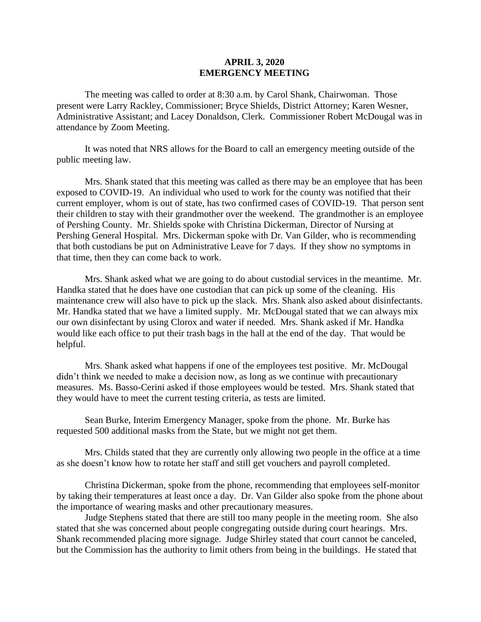## **APRIL 3, 2020 EMERGENCY MEETING**

The meeting was called to order at 8:30 a.m. by Carol Shank, Chairwoman. Those present were Larry Rackley, Commissioner; Bryce Shields, District Attorney; Karen Wesner, Administrative Assistant; and Lacey Donaldson, Clerk. Commissioner Robert McDougal was in attendance by Zoom Meeting.

It was noted that NRS allows for the Board to call an emergency meeting outside of the public meeting law.

Mrs. Shank stated that this meeting was called as there may be an employee that has been exposed to COVID-19. An individual who used to work for the county was notified that their current employer, whom is out of state, has two confirmed cases of COVID-19. That person sent their children to stay with their grandmother over the weekend. The grandmother is an employee of Pershing County. Mr. Shields spoke with Christina Dickerman, Director of Nursing at Pershing General Hospital. Mrs. Dickerman spoke with Dr. Van Gilder, who is recommending that both custodians be put on Administrative Leave for 7 days. If they show no symptoms in that time, then they can come back to work.

Mrs. Shank asked what we are going to do about custodial services in the meantime. Mr. Handka stated that he does have one custodian that can pick up some of the cleaning. His maintenance crew will also have to pick up the slack. Mrs. Shank also asked about disinfectants. Mr. Handka stated that we have a limited supply. Mr. McDougal stated that we can always mix our own disinfectant by using Clorox and water if needed. Mrs. Shank asked if Mr. Handka would like each office to put their trash bags in the hall at the end of the day. That would be helpful.

Mrs. Shank asked what happens if one of the employees test positive. Mr. McDougal didn't think we needed to make a decision now, as long as we continue with precautionary measures. Ms. Basso-Cerini asked if those employees would be tested. Mrs. Shank stated that they would have to meet the current testing criteria, as tests are limited.

Sean Burke, Interim Emergency Manager, spoke from the phone. Mr. Burke has requested 500 additional masks from the State, but we might not get them.

Mrs. Childs stated that they are currently only allowing two people in the office at a time as she doesn't know how to rotate her staff and still get vouchers and payroll completed.

Christina Dickerman, spoke from the phone, recommending that employees self-monitor by taking their temperatures at least once a day. Dr. Van Gilder also spoke from the phone about the importance of wearing masks and other precautionary measures.

Judge Stephens stated that there are still too many people in the meeting room. She also stated that she was concerned about people congregating outside during court hearings. Mrs. Shank recommended placing more signage. Judge Shirley stated that court cannot be canceled, but the Commission has the authority to limit others from being in the buildings. He stated that